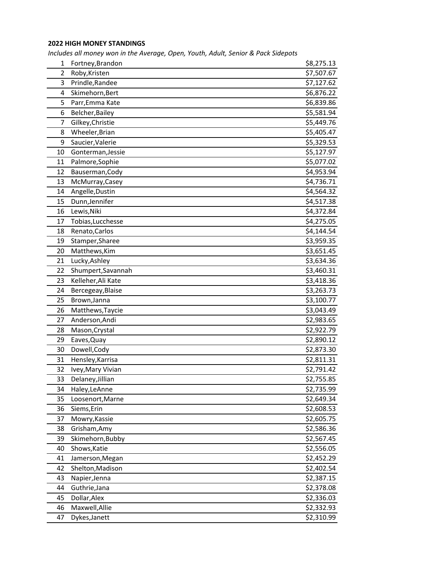## **2022 HIGH MONEY STANDINGS**

*Includes all money won in the Average, Open, Youth, Adult, Senior & Pack Sidepots*

| $\mathbf{1}$ | Fortney, Brandon   | \$8,275.13 |
|--------------|--------------------|------------|
| 2            | Roby, Kristen      | \$7,507.67 |
| 3            | Prindle, Randee    | \$7,127.62 |
| 4            | Skimehorn, Bert    | \$6,876.22 |
| 5            | Parr, Emma Kate    | \$6,839.86 |
| 6            | Belcher, Bailey    | \$5,581.94 |
| 7            | Gilkey, Christie   | \$5,449.76 |
| 8            | Wheeler, Brian     | \$5,405.47 |
| 9            | Saucier, Valerie   | \$5,329.53 |
| 10           | Gonterman, Jessie  | \$5,127.97 |
| 11           | Palmore, Sophie    | \$5,077.02 |
| 12           | Bauserman, Cody    | \$4,953.94 |
| 13           | McMurray, Casey    | \$4,736.71 |
| 14           | Angelle, Dustin    | \$4,564.32 |
| 15           | Dunn, Jennifer     | \$4,517.38 |
| 16           | Lewis, Niki        | \$4,372.84 |
| 17           | Tobias, Lucchesse  | \$4,275.05 |
| 18           | Renato, Carlos     | \$4,144.54 |
| 19           | Stamper, Sharee    | \$3,959.35 |
| 20           | Matthews, Kim      | \$3,651.45 |
| 21           | Lucky, Ashley      | \$3,634.36 |
| 22           | Shumpert, Savannah | \$3,460.31 |
| 23           | Kelleher, Ali Kate | \$3,418.36 |
| 24           | Bercegeay, Blaise  | \$3,263.73 |
| 25           | Brown, Janna       | \$3,100.77 |
| 26           | Matthews, Taycie   | \$3,043.49 |
| 27           | Anderson, Andi     | \$2,983.65 |
| 28           | Mason, Crystal     | \$2,922.79 |
| 29           | Eaves, Quay        | \$2,890.12 |
| 30           | Dowell, Cody       | \$2,873.30 |
| 31           | Hensley, Karrisa   | \$2,811.31 |
| 32           | Ivey, Mary Vivian  | \$2,791.42 |
| 33           | Delaney, Jillian   | \$2,755.85 |
| 34           | Haley, LeAnne      | \$2,735.99 |
| 35           | Loosenort, Marne   | \$2,649.34 |
| 36           | Siems, Erin        | \$2,608.53 |
| 37           | Mowry, Kassie      | \$2,605.75 |
| 38           | Grisham, Amy       | \$2,586.36 |
| 39           | Skimehorn, Bubby   | \$2,567.45 |
| 40           | Shows, Katie       | \$2,556.05 |
| 41           | Jamerson, Megan    | \$2,452.29 |
| 42           | Shelton, Madison   | \$2,402.54 |
| 43           | Napier, Jenna      | \$2,387.15 |
| 44           | Guthrie, Jana      | \$2,378.08 |
| 45           | Dollar, Alex       | \$2,336.03 |
| 46           | Maxwell, Allie     | \$2,332.93 |
| 47           | Dykes, Janett      | \$2,310.99 |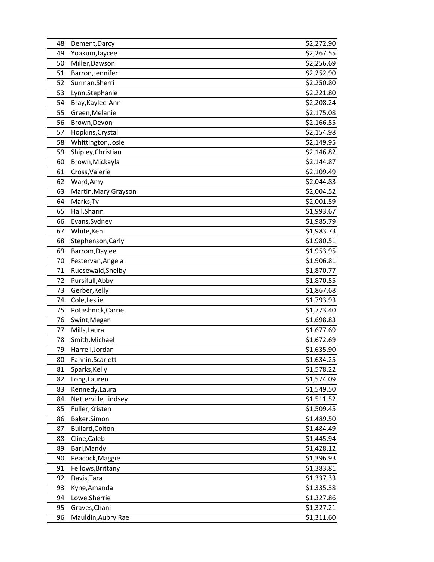| 48 | Dement, Darcy        | \$2,272.90 |
|----|----------------------|------------|
| 49 | Yoakum, Jaycee       | \$2,267.55 |
| 50 | Miller, Dawson       | \$2,256.69 |
| 51 | Barron, Jennifer     | \$2,252.90 |
| 52 | Surman, Sherri       | \$2,250.80 |
| 53 | Lynn, Stephanie      | \$2,221.80 |
| 54 | Bray, Kaylee-Ann     | \$2,208.24 |
| 55 | Green, Melanie       | \$2,175.08 |
| 56 | Brown, Devon         | \$2,166.55 |
| 57 | Hopkins, Crystal     | \$2,154.98 |
| 58 | Whittington, Josie   | \$2,149.95 |
| 59 | Shipley, Christian   | \$2,146.82 |
| 60 | Brown, Mickayla      | \$2,144.87 |
| 61 | Cross, Valerie       | \$2,109.49 |
| 62 | Ward, Amy            | \$2,044.83 |
| 63 | Martin, Mary Grayson | \$2,004.52 |
| 64 | Marks, Ty            | \$2,001.59 |
| 65 | Hall, Sharin         | \$1,993.67 |
| 66 | Evans, Sydney        | \$1,985.79 |
| 67 | White, Ken           | \$1,983.73 |
| 68 | Stephenson, Carly    | \$1,980.51 |
| 69 | Barrom, Daylee       | \$1,953.95 |
| 70 | Festervan, Angela    | \$1,906.81 |
| 71 | Ruesewald, Shelby    | \$1,870.77 |
| 72 | Pursifull, Abby      | \$1,870.55 |
| 73 | Gerber, Kelly        | \$1,867.68 |
| 74 | Cole, Leslie         | \$1,793.93 |
| 75 | Potashnick, Carrie   | \$1,773.40 |
| 76 | Swint, Megan         | \$1,698.83 |
| 77 | Mills, Laura         | \$1,677.69 |
| 78 | Smith, Michael       | \$1,672.69 |
| 79 | Harrell, Jordan      | \$1,635.90 |
| 80 | Fannin, Scarlett     | \$1,634.25 |
| 81 | Sparks, Kelly        | \$1,578.22 |
| 82 | Long, Lauren         | \$1,574.09 |
| 83 | Kennedy, Laura       | \$1,549.50 |
| 84 | Netterville, Lindsey | \$1,511.52 |
| 85 | Fuller, Kristen      | \$1,509.45 |
| 86 | Baker, Simon         | \$1,489.50 |
| 87 | Bullard, Colton      | \$1,484.49 |
| 88 | Cline, Caleb         | \$1,445.94 |
| 89 | Bari, Mandy          | \$1,428.12 |
| 90 | Peacock, Maggie      | \$1,396.93 |
| 91 | Fellows, Brittany    | \$1,383.81 |
| 92 | Davis, Tara          | \$1,337.33 |
| 93 | Kyne, Amanda         | \$1,335.38 |
| 94 | Lowe, Sherrie        | \$1,327.86 |
| 95 | Graves, Chani        | \$1,327.21 |
| 96 | Mauldin, Aubry Rae   | \$1,311.60 |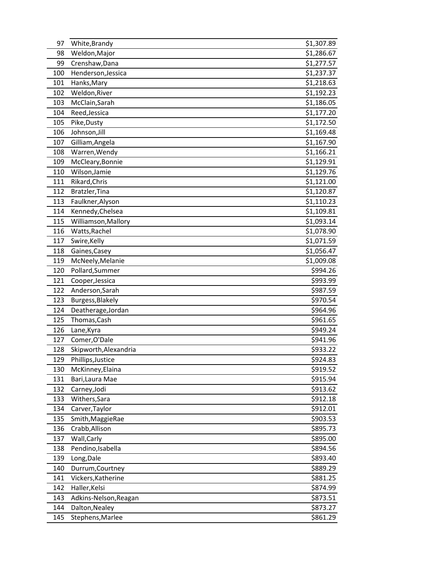| 97  | White, Brandy         | \$1,307.89 |
|-----|-----------------------|------------|
| 98  | Weldon, Major         | \$1,286.67 |
| 99  | Crenshaw, Dana        | \$1,277.57 |
| 100 | Henderson, Jessica    | \$1,237.37 |
| 101 | Hanks, Mary           | \$1,218.63 |
| 102 | Weldon, River         | \$1,192.23 |
| 103 | McClain, Sarah        | \$1,186.05 |
| 104 | Reed, Jessica         | \$1,177.20 |
| 105 | Pike, Dusty           | \$1,172.50 |
| 106 | Johnson, Jill         | \$1,169.48 |
| 107 | Gilliam, Angela       | \$1,167.90 |
| 108 | Warren, Wendy         | \$1,166.21 |
| 109 | McCleary, Bonnie      | \$1,129.91 |
| 110 | Wilson, Jamie         | \$1,129.76 |
| 111 | Rikard, Chris         | \$1,121.00 |
| 112 | Bratzler, Tina        | \$1,120.87 |
| 113 | Faulkner, Alyson      | \$1,110.23 |
| 114 | Kennedy, Chelsea      | \$1,109.81 |
| 115 | Williamson, Mallory   | \$1,093.14 |
| 116 | Watts, Rachel         | \$1,078.90 |
| 117 | Swire, Kelly          | \$1,071.59 |
| 118 | Gaines, Casey         | \$1,056.47 |
| 119 | McNeely, Melanie      | \$1,009.08 |
| 120 | Pollard, Summer       | \$994.26   |
| 121 | Cooper, Jessica       | \$993.99   |
| 122 | Anderson, Sarah       | \$987.59   |
| 123 | Burgess, Blakely      | \$970.54   |
| 124 | Deatherage, Jordan    | \$964.96   |
| 125 | Thomas, Cash          | \$961.65   |
| 126 | Lane, Kyra            | \$949.24   |
| 127 | Comer, O'Dale         | \$941.96   |
| 128 | Skipworth, Alexandria | \$933.22   |
| 129 | Phillips, Justice     | \$924.83   |
| 130 | McKinney, Elaina      | \$919.52   |
| 131 | Bari, Laura Mae       | \$915.94   |
| 132 | Carney, Jodi          | \$913.62   |
| 133 | Withers, Sara         | \$912.18   |
| 134 | Carver, Taylor        | \$912.01   |
| 135 | Smith, MaggieRae      | \$903.53   |
| 136 | Crabb, Allison        | \$895.73   |
| 137 | Wall, Carly           | \$895.00   |
| 138 | Pendino, Isabella     | \$894.56   |
| 139 | Long, Dale            | \$893.40   |
| 140 | Durrum, Courtney      | \$889.29   |
| 141 | Vickers, Katherine    | \$881.25   |
| 142 | Haller, Kelsi         | \$874.99   |
| 143 | Adkins-Nelson, Reagan | \$873.51   |
| 144 | Dalton, Nealey        | \$873.27   |
| 145 | Stephens, Marlee      | \$861.29   |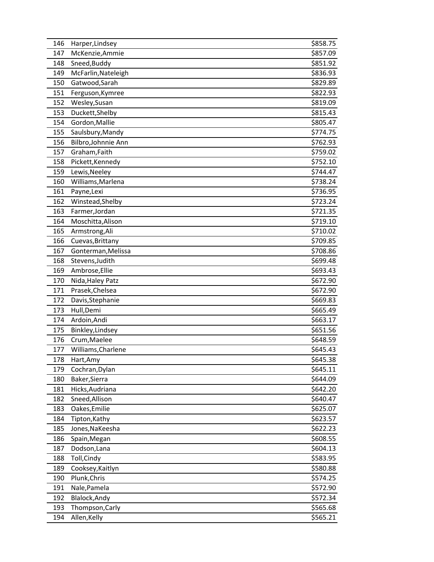| 146 | Harper, Lindsey     | \$858.75 |
|-----|---------------------|----------|
| 147 | McKenzie, Ammie     | \$857.09 |
| 148 | Sneed, Buddy        | \$851.92 |
| 149 | McFarlin, Nateleigh | \$836.93 |
| 150 | Gatwood, Sarah      | \$829.89 |
| 151 | Ferguson, Kymree    | \$822.93 |
| 152 | Wesley, Susan       | \$819.09 |
| 153 | Duckett, Shelby     | \$815.43 |
| 154 | Gordon, Mallie      | \$805.47 |
| 155 | Saulsbury, Mandy    | \$774.75 |
| 156 | Bilbro, Johnnie Ann | \$762.93 |
| 157 | Graham, Faith       | \$759.02 |
| 158 | Pickett, Kennedy    | \$752.10 |
| 159 | Lewis, Neeley       | \$744.47 |
| 160 | Williams, Marlena   | \$738.24 |
| 161 | Payne, Lexi         | \$736.95 |
| 162 | Winstead, Shelby    | \$723.24 |
| 163 | Farmer, Jordan      | \$721.35 |
| 164 | Moschitta, Alison   | \$719.10 |
| 165 | Armstrong, Ali      | \$710.02 |
| 166 | Cuevas, Brittany    | \$709.85 |
| 167 | Gonterman, Melissa  | \$708.86 |
| 168 | Stevens, Judith     | \$699.48 |
| 169 | Ambrose, Ellie      | \$693.43 |
| 170 | Nida, Haley Patz    | \$672.90 |
| 171 | Prasek, Chelsea     | \$672.90 |
| 172 | Davis, Stephanie    | \$669.83 |
| 173 | Hull, Demi          | \$665.49 |
| 174 | Ardoin, Andi        | \$663.17 |
| 175 | Binkley, Lindsey    | \$651.56 |
| 176 | Crum, Maelee        | \$648.59 |
| 177 | Williams, Charlene  | \$645.43 |
| 178 | Hart, Amy           | \$645.38 |
| 179 | Cochran, Dylan      | \$645.11 |
| 180 | Baker, Sierra       | \$644.09 |
| 181 | Hicks, Audriana     | \$642.20 |
| 182 | Sneed, Allison      | \$640.47 |
| 183 | Oakes, Emilie       | \$625.07 |
| 184 | Tipton, Kathy       | \$623.57 |
| 185 | Jones, NaKeesha     | \$622.23 |
| 186 | Spain, Megan        | \$608.55 |
| 187 | Dodson, Lana        | \$604.13 |
| 188 | Toll, Cindy         | \$583.95 |
| 189 | Cooksey, Kaitlyn    | \$580.88 |
| 190 | Plunk, Chris        | \$574.25 |
| 191 | Nale, Pamela        | \$572.90 |
| 192 | Blalock, Andy       | \$572.34 |
| 193 | Thompson, Carly     | \$565.68 |
| 194 | Allen, Kelly        | \$565.21 |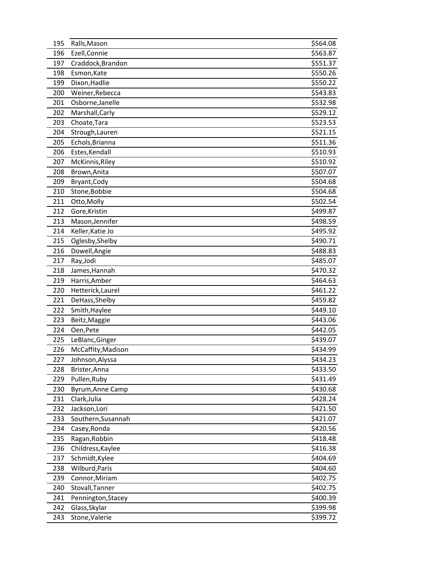| 195 | Ralls, Mason       | \$564.08 |
|-----|--------------------|----------|
| 196 | Ezell, Connie      | \$563.87 |
| 197 | Craddock, Brandon  | \$551.37 |
| 198 | Esmon, Kate        | \$550.26 |
| 199 | Dixon, Hadlie      | \$550.22 |
| 200 | Weiner, Rebecca    | \$543.83 |
| 201 | Osborne, Janelle   | \$532.98 |
| 202 | Marshall, Carly    | \$529.12 |
| 203 | Choate, Tara       | \$523.53 |
| 204 | Strough, Lauren    | \$521.15 |
| 205 | Echols, Brianna    | \$511.36 |
| 206 | Estes, Kendall     | \$510.93 |
| 207 | McKinnis, Riley    | \$510.92 |
| 208 | Brown, Anita       | \$507.07 |
| 209 | Bryant, Cody       | \$504.68 |
| 210 | Stone, Bobbie      | \$504.68 |
| 211 | Otto, Molly        | \$502.54 |
| 212 | Gore, Kristin      | \$499.87 |
| 213 | Mason, Jennifer    | \$498.59 |
| 214 | Keller, Katie Jo   | \$495.92 |
| 215 | Oglesby, Shelby    | \$490.71 |
| 216 | Dowell, Angie      | \$488.83 |
| 217 | Ray, Jodi          | \$485.07 |
| 218 | James, Hannah      | \$470.32 |
| 219 | Harris, Amber      | \$464.63 |
| 220 | Hetterick, Laurel  | \$461.22 |
| 221 | DeHass, Shelby     | \$459.82 |
| 222 | Smith, Haylee      | \$449.10 |
| 223 | Beitz, Maggie      | \$443.06 |
| 224 | Oen, Pete          | \$442.05 |
| 225 | LeBlanc, Ginger    | \$439.07 |
| 226 | McCaffity, Madison | \$434.99 |
| 227 | Johnson, Alyssa    | \$434.23 |
| 228 | Brister, Anna      | \$433.50 |
| 229 | Pullen, Ruby       | \$431.49 |
| 230 | Byrum, Anne Camp   | \$430.68 |
| 231 | Clark, Julia       | \$428.24 |
| 232 | Jackson, Lori      | \$421.50 |
| 233 | Southern, Susannah | \$421.07 |
| 234 | Casey, Ronda       | \$420.56 |
| 235 | Ragan, Robbin      | \$418.48 |
| 236 | Childress, Kaylee  | \$416.38 |
| 237 | Schmidt, Kylee     | \$404.69 |
| 238 | Wilburd, Paris     | \$404.60 |
| 239 | Connor, Miriam     | \$402.75 |
| 240 | Stovall, Tanner    | \$402.75 |
| 241 | Pennington, Stacey | \$400.39 |
| 242 | Glass, Skylar      | \$399.98 |
| 243 | Stone, Valerie     | \$399.72 |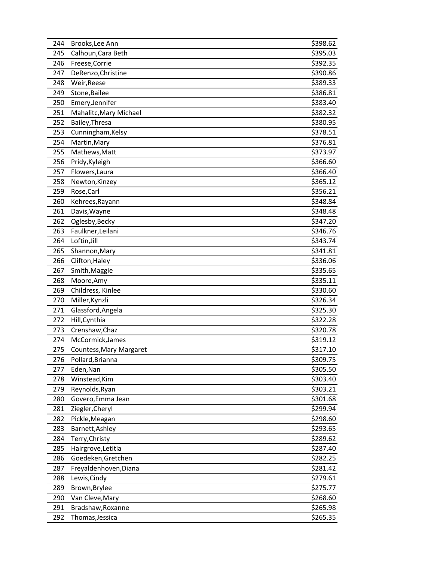| 244 | Brooks, Lee Ann         | \$398.62 |
|-----|-------------------------|----------|
| 245 | Calhoun, Cara Beth      | \$395.03 |
| 246 | Freese, Corrie          | \$392.35 |
| 247 | DeRenzo, Christine      | \$390.86 |
| 248 | Weir, Reese             | \$389.33 |
| 249 | Stone, Bailee           | \$386.81 |
| 250 | Emery, Jennifer         | \$383.40 |
| 251 | Mahalitc, Mary Michael  | \$382.32 |
| 252 | Bailey, Thresa          | \$380.95 |
| 253 | Cunningham, Kelsy       | \$378.51 |
| 254 | Martin, Mary            | \$376.81 |
| 255 | Mathews, Matt           | \$373.97 |
| 256 | Pridy, Kyleigh          | \$366.60 |
| 257 | Flowers, Laura          | \$366.40 |
| 258 | Newton, Kinzey          | \$365.12 |
| 259 | Rose, Carl              | \$356.21 |
| 260 | Kehrees, Rayann         | \$348.84 |
| 261 | Davis, Wayne            | \$348.48 |
| 262 | Oglesby, Becky          | \$347.20 |
| 263 | Faulkner, Leilani       | \$346.76 |
| 264 | Loftin, Jill            | \$343.74 |
| 265 | Shannon, Mary           | \$341.81 |
| 266 | Clifton, Haley          | \$336.06 |
| 267 | Smith, Maggie           | \$335.65 |
| 268 | Moore, Amy              | \$335.11 |
| 269 | Childress, Kinlee       | \$330.60 |
| 270 | Miller, Kynzli          | \$326.34 |
| 271 | Glassford, Angela       | \$325.30 |
| 272 | Hill, Cynthia           | \$322.28 |
| 273 | Crenshaw, Chaz          | \$320.78 |
| 274 | McCormick, James        | \$319.12 |
| 275 | Countess, Mary Margaret | \$317.10 |
| 276 | Pollard, Brianna        | \$309.75 |
| 277 | Eden, Nan               | \$305.50 |
| 278 | Winstead, Kim           | \$303.40 |
| 279 | Reynolds, Ryan          | \$303.21 |
| 280 | Govero, Emma Jean       | \$301.68 |
| 281 | Ziegler, Cheryl         | \$299.94 |
| 282 | Pickle, Meagan          | \$298.60 |
| 283 | Barnett, Ashley         | \$293.65 |
| 284 | Terry, Christy          | \$289.62 |
| 285 | Hairgrove, Letitia      | \$287.40 |
| 286 | Goedeken, Gretchen      | \$282.25 |
| 287 | Freyaldenhoven, Diana   | \$281.42 |
| 288 | Lewis, Cindy            | \$279.61 |
| 289 | Brown, Brylee           | \$275.77 |
| 290 | Van Cleve, Mary         | \$268.60 |
| 291 | Bradshaw, Roxanne       | \$265.98 |
| 292 | Thomas, Jessica         | \$265.35 |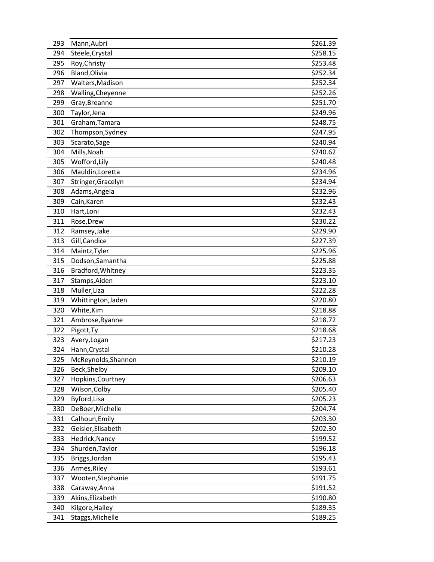| 293 | Mann, Aubri         | \$261.39 |
|-----|---------------------|----------|
| 294 | Steele, Crystal     | \$258.15 |
| 295 | Roy, Christy        | \$253.48 |
| 296 | Bland, Olivia       | \$252.34 |
| 297 | Walters, Madison    | \$252.34 |
| 298 | Walling, Cheyenne   | \$252.26 |
| 299 | Gray, Breanne       | \$251.70 |
| 300 | Taylor, Jena        | \$249.96 |
| 301 | Graham, Tamara      | \$248.75 |
| 302 | Thompson, Sydney    | \$247.95 |
| 303 | Scarato, Sage       | \$240.94 |
| 304 | Mills, Noah         | \$240.62 |
| 305 | Wofford, Lily       | \$240.48 |
| 306 | Mauldin, Loretta    | \$234.96 |
| 307 | Stringer, Gracelyn  | \$234.94 |
| 308 | Adams, Angela       | \$232.96 |
| 309 | Cain, Karen         | \$232.43 |
| 310 | Hart, Loni          | \$232.43 |
| 311 | Rose, Drew          | \$230.22 |
| 312 | Ramsey, Jake        | \$229.90 |
| 313 | Gill, Candice       | \$227.39 |
| 314 | Maintz, Tyler       | \$225.96 |
| 315 | Dodson, Samantha    | \$225.88 |
| 316 | Bradford, Whitney   | \$223.35 |
| 317 | Stamps, Aiden       | \$223.10 |
| 318 | Muller, Liza        | \$222.28 |
| 319 | Whittington, Jaden  | \$220.80 |
| 320 | White, Kim          | \$218.88 |
| 321 | Ambrose, Ryanne     | \$218.72 |
| 322 | Pigott, Ty          | \$218.68 |
| 323 | Avery, Logan        | \$217.23 |
| 324 | Hann, Crystal       | \$210.28 |
| 325 | McReynolds, Shannon | \$210.19 |
| 326 | Beck, Shelby        | \$209.10 |
| 327 | Hopkins, Courtney   | \$206.63 |
| 328 | Wilson, Colby       | \$205.40 |
| 329 | Byford, Lisa        | \$205.23 |
| 330 | DeBoer, Michelle    | \$204.74 |
| 331 | Calhoun, Emily      | \$203.30 |
| 332 | Geisler, Elisabeth  | \$202.30 |
| 333 | Hedrick, Nancy      | \$199.52 |
| 334 | Shurden, Taylor     | \$196.18 |
| 335 | Briggs, Jordan      | \$195.43 |
| 336 | Armes, Riley        | \$193.61 |
| 337 | Wooten, Stephanie   | \$191.75 |
| 338 | Caraway, Anna       | \$191.52 |
| 339 | Akins, Elizabeth    | \$190.80 |
| 340 | Kilgore, Hailey     | \$189.35 |
| 341 | Staggs, Michelle    | \$189.25 |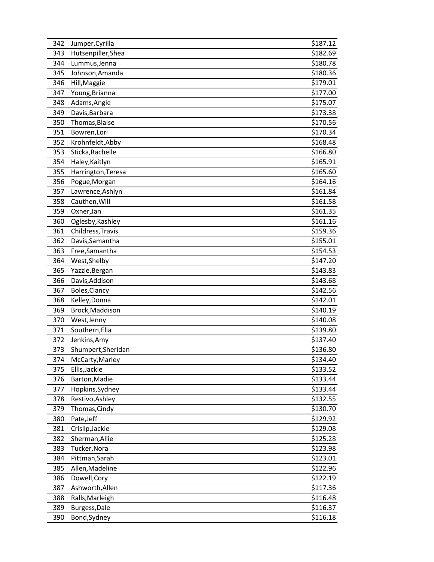| 342 | Jumper, Cyrilla    | \$187.12 |
|-----|--------------------|----------|
| 343 | Hutsenpiller, Shea | \$182.69 |
| 344 | Lummus, Jenna      | \$180.78 |
| 345 | Johnson, Amanda    | \$180.36 |
| 346 | Hill, Maggie       | \$179.01 |
| 347 | Young, Brianna     | \$177.00 |
| 348 | Adams, Angie       | \$175.07 |
| 349 | Davis, Barbara     | \$173.38 |
| 350 | Thomas, Blaise     | \$170.56 |
| 351 | Bowren, Lori       | \$170.34 |
| 352 | Krohnfeldt, Abby   | \$168.48 |
| 353 | Sticka, Rachelle   | \$166.80 |
| 354 | Haley, Kaitlyn     | \$165.91 |
| 355 | Harrington, Teresa | \$165.60 |
| 356 | Pogue, Morgan      | \$164.16 |
| 357 | Lawrence, Ashlyn   | \$161.84 |
| 358 | Cauthen, Will      | \$161.58 |
| 359 | Oxner, Jan         | \$161.35 |
| 360 | Oglesby, Kashley   | \$161.16 |
| 361 | Childress, Travis  | \$159.36 |
| 362 | Davis, Samantha    | \$155.01 |
| 363 | Free, Samantha     | \$154.53 |
| 364 | West, Shelby       | \$147.20 |
| 365 | Yazzie, Bergan     | \$143.83 |
| 366 | Davis, Addison     | \$143.68 |
| 367 | Boles, Clancy      | \$142.56 |
| 368 | Kelley, Donna      | \$142.01 |
| 369 | Brock, Maddison    | \$140.19 |
| 370 | West, Jenny        | \$140.08 |
| 371 | Southern, Ella     | \$139.80 |
| 372 | Jenkins, Amy       | \$137.40 |
| 373 | Shumpert, Sheridan | \$136.80 |
| 374 | McCarty, Marley    | \$134.40 |
| 375 | Ellis, Jackie      | \$133.52 |
| 376 | Barton, Madie      | \$133.44 |
| 377 | Hopkins, Sydney    | \$133.44 |
| 378 | Restivo, Ashley    | \$132.55 |
| 379 | Thomas, Cindy      | \$130.70 |
| 380 | Pate, Jeff         | \$129.92 |
| 381 | Crislip, Jackie    | \$129.08 |
| 382 | Sherman, Allie     | \$125.28 |
| 383 | Tucker, Nora       | \$123.98 |
| 384 | Pittman, Sarah     | \$123.01 |
| 385 | Allen, Madeline    | \$122.96 |
| 386 | Dowell, Cory       | \$122.19 |
| 387 | Ashworth, Allen    | \$117.36 |
| 388 | Ralls, Marleigh    | \$116.48 |
| 389 | Burgess, Dale      | \$116.37 |
| 390 | Bond, Sydney       | \$116.18 |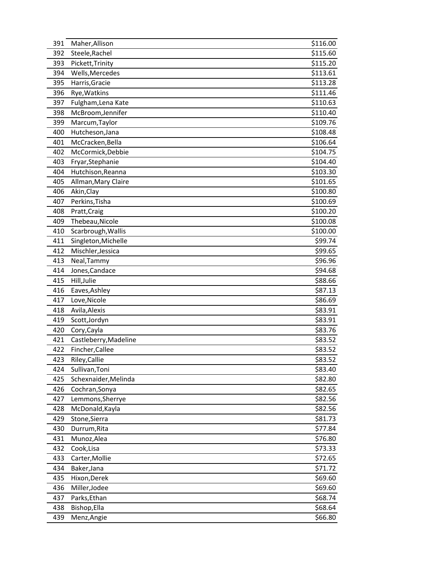| 391 | Maher, Allison        | \$116.00 |
|-----|-----------------------|----------|
| 392 | Steele, Rachel        | \$115.60 |
| 393 | Pickett, Trinity      | \$115.20 |
| 394 | Wells, Mercedes       | \$113.61 |
| 395 | Harris, Gracie        | \$113.28 |
| 396 | Rye, Watkins          | \$111.46 |
| 397 | Fulgham, Lena Kate    | \$110.63 |
| 398 | McBroom, Jennifer     | \$110.40 |
| 399 | Marcum, Taylor        | \$109.76 |
| 400 | Hutcheson, Jana       | \$108.48 |
| 401 | McCracken, Bella      | \$106.64 |
| 402 | McCormick, Debbie     | \$104.75 |
| 403 | Fryar, Stephanie      | \$104.40 |
| 404 | Hutchison, Reanna     | \$103.30 |
| 405 | Allman, Mary Claire   | \$101.65 |
| 406 | Akin, Clay            | \$100.80 |
| 407 | Perkins, Tisha        | \$100.69 |
| 408 | Pratt, Craig          | \$100.20 |
| 409 | Thebeau, Nicole       | \$100.08 |
| 410 | Scarbrough, Wallis    | \$100.00 |
| 411 | Singleton, Michelle   | \$99.74  |
| 412 | Mischler, Jessica     | \$99.65  |
| 413 | Neal, Tammy           | \$96.96  |
| 414 | Jones, Candace        | \$94.68  |
| 415 | Hill, Julie           | \$88.66  |
| 416 | Eaves, Ashley         | \$87.13  |
| 417 | Love, Nicole          | \$86.69  |
| 418 | Avila, Alexis         | \$83.91  |
| 419 | Scott, Jordyn         | \$83.91  |
| 420 | Cory, Cayla           | \$83.76  |
| 421 | Castleberry, Madeline | \$83.52  |
| 422 | Fincher, Callee       | \$83.52  |
| 423 | Riley, Callie         | \$83.52  |
| 424 | Sullivan, Toni        | \$83.40  |
| 425 | Schexnaider, Melinda  | \$82.80  |
| 426 | Cochran, Sonya        | \$82.65  |
| 427 | Lemmons, Sherrye      | \$82.56  |
| 428 | McDonald, Kayla       | \$82.56  |
| 429 | Stone, Sierra         | \$81.73  |
| 430 | Durrum, Rita          | \$77.84  |
| 431 | Munoz, Alea           | \$76.80  |
| 432 | Cook, Lisa            | \$73.33  |
| 433 | Carter, Mollie        | \$72.65  |
| 434 | Baker, Jana           | \$71.72  |
| 435 | Hixon, Derek          | \$69.60  |
| 436 | Miller, Jodee         | \$69.60  |
| 437 | Parks, Ethan          | \$68.74  |
| 438 | Bishop, Ella          | \$68.64  |
| 439 | Menz, Angie           | \$66.80  |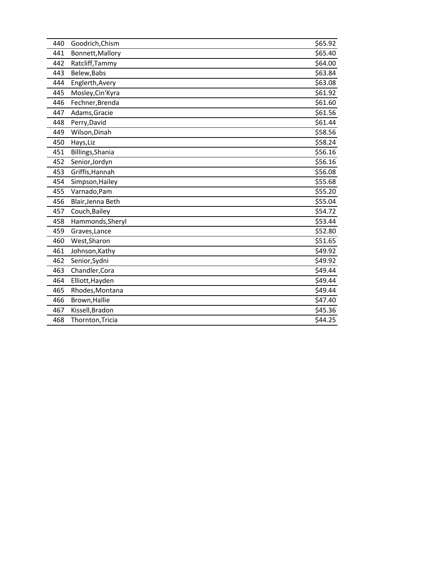| 440 | Goodrich, Chism   | \$65.92 |
|-----|-------------------|---------|
| 441 | Bonnett, Mallory  | \$65.40 |
| 442 | Ratcliff, Tammy   | \$64.00 |
| 443 | Belew, Babs       | \$63.84 |
| 444 | Englerth, Avery   | \$63.08 |
| 445 | Mosley, Cin'Kyra  | \$61.92 |
| 446 | Fechner, Brenda   | \$61.60 |
| 447 | Adams, Gracie     | \$61.56 |
| 448 | Perry, David      | \$61.44 |
| 449 | Wilson, Dinah     | \$58.56 |
| 450 | Hays, Liz         | \$58.24 |
| 451 | Billings, Shania  | \$56.16 |
| 452 | Senior, Jordyn    | \$56.16 |
| 453 | Griffis, Hannah   | \$56.08 |
| 454 | Simpson, Hailey   | \$55.68 |
| 455 | Varnado, Pam      | \$55.20 |
| 456 | Blair, Jenna Beth | \$55.04 |
| 457 | Couch, Bailey     | \$54.72 |
| 458 | Hammonds, Sheryl  | \$53.44 |
| 459 | Graves, Lance     | \$52.80 |
| 460 | West, Sharon      | \$51.65 |
| 461 | Johnson, Kathy    | \$49.92 |
| 462 | Senior, Sydni     | \$49.92 |
| 463 | Chandler, Cora    | \$49.44 |
| 464 | Elliott, Hayden   | \$49.44 |
| 465 | Rhodes, Montana   | \$49.44 |
| 466 | Brown, Hallie     | \$47.40 |
| 467 | Kissell, Bradon   | \$45.36 |
| 468 | Thornton, Tricia  | \$44.25 |